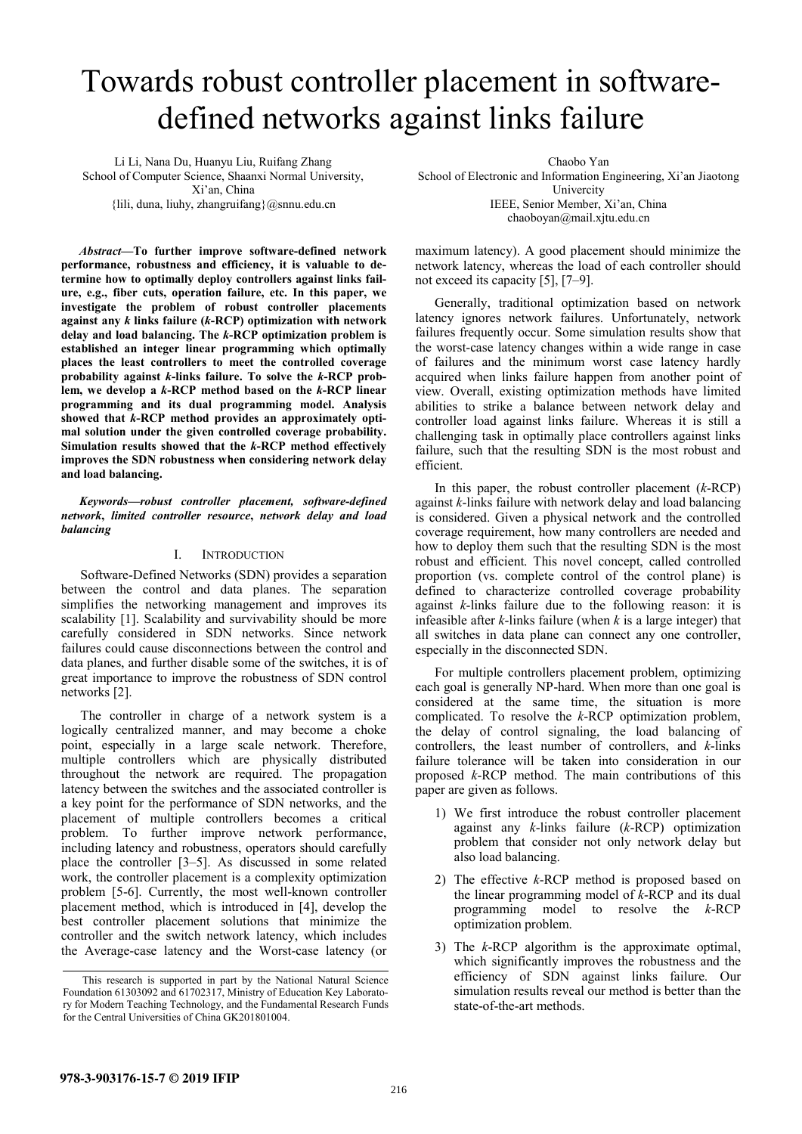# Towards robust controller placement in softwaredefined networks against links failure

Li Li, Nana Du, Huanyu Liu, Ruifang Zhang School of Computer Science, Shaanxi Normal University, Xi'an, China  ${llili, duna, liuhy, zhangruifang} @snnu.edu.cn$ 

*Abstract—***To further improve software-defined network performance, robustness and efficiency, it is valuable to determine how to optimally deploy controllers against links failure, e.g., fiber cuts, operation failure, etc. In this paper, we investigate the problem of robust controller placements against any** *k* **links failure (***k***-RCP) optimization with network delay and load balancing. The** *k***-RCP optimization problem is established an integer linear programming which optimally places the least controllers to meet the controlled coverage probability against** *k***-links failure. To solve the** *k***-RCP problem, we develop a** *k***-RCP method based on the** *k***-RCP linear programming and its dual programming model. Analysis showed that** *k***-RCP method provides an approximately optimal solution under the given controlled coverage probability. Simulation results showed that the** *k***-RCP method effectively improves the SDN robustness when considering network delay and load balancing.** 

*Keywords—robust controller placement, software-defined network***,** *limited controller resource***,** *network delay and load balancing* 

# I. INTRODUCTION

Software-Defined Networks (SDN) provides a separation between the control and data planes. The separation simplifies the networking management and improves its scalability [1]. Scalability and survivability should be more carefully considered in SDN networks. Since network failures could cause disconnections between the control and data planes, and further disable some of the switches, it is of great importance to improve the robustness of SDN control networks [2].

The controller in charge of a network system is a logically centralized manner, and may become a choke point, especially in a large scale network. Therefore, multiple controllers which are physically distributed throughout the network are required. The propagation latency between the switches and the associated controller is a key point for the performance of SDN networks, and the placement of multiple controllers becomes a critical problem. To further improve network performance, including latency and robustness, operators should carefully place the controller [3–5]. As discussed in some related work, the controller placement is a complexity optimization problem [5-6]. Currently, the most well-known controller placement method, which is introduced in [4], develop the best controller placement solutions that minimize the controller and the switch network latency, which includes the Average-case latency and the Worst-case latency (or

Chaobo Yan School of Electronic and Information Engineering, Xi'an Jiaotong Univercity IEEE, Senior Member, Xi'an, China chaoboyan@mail.xjtu.edu.cn

maximum latency). A good placement should minimize the network latency, whereas the load of each controller should not exceed its capacity [5], [7–9].

Generally, traditional optimization based on network latency ignores network failures. Unfortunately, network failures frequently occur. Some simulation results show that the worst-case latency changes within a wide range in case of failures and the minimum worst case latency hardly acquired when links failure happen from another point of view. Overall, existing optimization methods have limited abilities to strike a balance between network delay and controller load against links failure. Whereas it is still a challenging task in optimally place controllers against links failure, such that the resulting SDN is the most robust and efficient.

In this paper, the robust controller placement (*k*-RCP) against *k*-links failure with network delay and load balancing is considered. Given a physical network and the controlled coverage requirement, how many controllers are needed and how to deploy them such that the resulting SDN is the most robust and efficient. This novel concept, called controlled proportion (vs. complete control of the control plane) is defined to characterize controlled coverage probability against *k*-links failure due to the following reason: it is infeasible after *k*-links failure (when *k* is a large integer) that all switches in data plane can connect any one controller, especially in the disconnected SDN.

For multiple controllers placement problem, optimizing each goal is generally NP-hard. When more than one goal is considered at the same time, the situation is more complicated. To resolve the *k*-RCP optimization problem, the delay of control signaling, the load balancing of controllers, the least number of controllers, and *k*-links failure tolerance will be taken into consideration in our proposed *k*-RCP method. The main contributions of this paper are given as follows.

- 1) We first introduce the robust controller placement against any *k*-links failure (*k*-RCP) optimization problem that consider not only network delay but also load balancing.
- 2) The effective *k*-RCP method is proposed based on the linear programming model of *k*-RCP and its dual programming model to resolve the *k*-RCP optimization problem.
- 3) The *k*-RCP algorithm is the approximate optimal, which significantly improves the robustness and the efficiency of SDN against links failure. Our simulation results reveal our method is better than the state-of-the-art methods.

This research is supported in part by the National Natural Science Foundation 61303092 and 61702317, Ministry of Education Key Laboratory for Modern Teaching Technology, and the Fundamental Research Funds for the Central Universities of China GK201801004.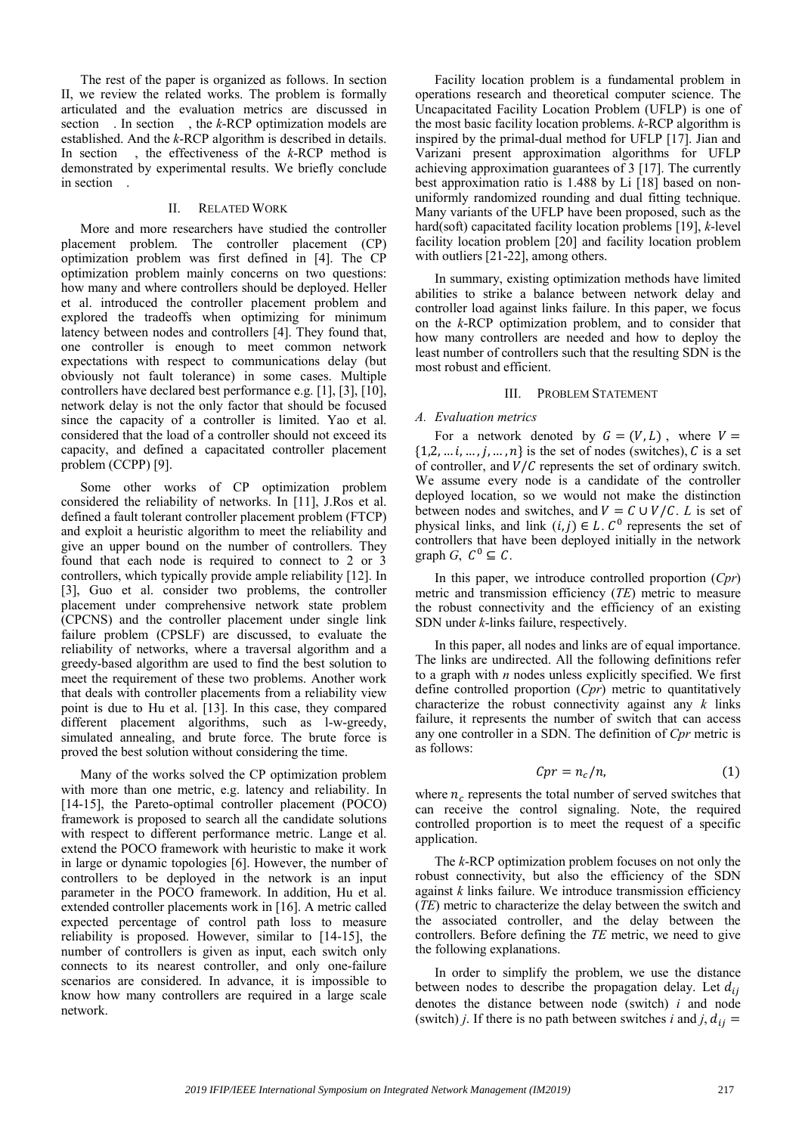The rest of the paper is organized as follows. In section II, we review the related works. The problem is formally articulated and the evaluation metrics are discussed in section . In section , the *k*-RCP optimization models are established. And the *k*-RCP algorithm is described in details. In section , the effectiveness of the *k*-RCP method is demonstrated by experimental results. We briefly conclude in section .

## II. RELATED WORK

More and more researchers have studied the controller placement problem. The controller placement (CP) optimization problem was first defined in [4]. The CP optimization problem mainly concerns on two questions: how many and where controllers should be deployed. Heller et al. introduced the controller placement problem and explored the tradeoffs when optimizing for minimum latency between nodes and controllers [4]. They found that, one controller is enough to meet common network expectations with respect to communications delay (but obviously not fault tolerance) in some cases. Multiple controllers have declared best performance e.g. [1], [3], [10], network delay is not the only factor that should be focused since the capacity of a controller is limited. Yao et al. considered that the load of a controller should not exceed its capacity, and defined a capacitated controller placement problem (CCPP) [9].

Some other works of CP optimization problem considered the reliability of networks. In [11], J.Ros et al. defined a fault tolerant controller placement problem (FTCP) and exploit a heuristic algorithm to meet the reliability and give an upper bound on the number of controllers. They found that each node is required to connect to 2 or 3 controllers, which typically provide ample reliability [12]. In [3], Guo et al. consider two problems, the controller placement under comprehensive network state problem (CPCNS) and the controller placement under single link failure problem (CPSLF) are discussed, to evaluate the reliability of networks, where a traversal algorithm and a greedy-based algorithm are used to find the best solution to meet the requirement of these two problems. Another work that deals with controller placements from a reliability view point is due to Hu et al. [13]. In this case, they compared different placement algorithms, such as l-w-greedy, simulated annealing, and brute force. The brute force is proved the best solution without considering the time.

Many of the works solved the CP optimization problem with more than one metric, e.g. latency and reliability. In [14-15], the Pareto-optimal controller placement (POCO) framework is proposed to search all the candidate solutions with respect to different performance metric. Lange et al. extend the POCO framework with heuristic to make it work in large or dynamic topologies [6]. However, the number of controllers to be deployed in the network is an input parameter in the POCO framework. In addition, Hu et al. extended controller placements work in [16]. A metric called expected percentage of control path loss to measure reliability is proposed. However, similar to [14-15], the number of controllers is given as input, each switch only connects to its nearest controller, and only one-failure scenarios are considered. In advance, it is impossible to know how many controllers are required in a large scale network.

Facility location problem is a fundamental problem in operations research and theoretical computer science. The Uncapacitated Facility Location Problem (UFLP) is one of the most basic facility location problems. *k*-RCP algorithm is inspired by the primal-dual method for UFLP [17]. Jian and Varizani present approximation algorithms for UFLP achieving approximation guarantees of 3 [17]. The currently best approximation ratio is 1.488 by Li [18] based on nonuniformly randomized rounding and dual fitting technique. Many variants of the UFLP have been proposed, such as the hard(soft) capacitated facility location problems [19], *k*-level facility location problem [20] and facility location problem with outliers [21-22], among others.

In summary, existing optimization methods have limited abilities to strike a balance between network delay and controller load against links failure. In this paper, we focus on the *k*-RCP optimization problem, and to consider that how many controllers are needed and how to deploy the least number of controllers such that the resulting SDN is the most robust and efficient.

# III. PROBLEM STATEMENT

## *A. Evaluation metrics*

For a network denoted by  $G = (V, L)$ , where  $V =$  $\{1,2,\ldots i,\ldots,j,\ldots,n\}$  is the set of nodes (switches), C is a set of controller, and  $V/C$  represents the set of ordinary switch. We assume every node is a candidate of the controller deployed location, so we would not make the distinction between nodes and switches, and  $V = C \cup V/C$ . *L* is set of physical links, and link  $(i, j) \in L$ .  $C^0$  represents the set of controllers that have been deployed initially in the network graph G,  $C^0 \subseteq C$ .

In this paper, we introduce controlled proportion (*Cpr*) metric and transmission efficiency (*TE*) metric to measure the robust connectivity and the efficiency of an existing SDN under *k*-links failure, respectively.

In this paper, all nodes and links are of equal importance. The links are undirected. All the following definitions refer to a graph with *n* nodes unless explicitly specified. We first define controlled proportion (*Cpr*) metric to quantitatively characterize the robust connectivity against any *k* links failure, it represents the number of switch that can access any one controller in a SDN. The definition of *Cpr* metric is as follows:

$$
Cpr = n_c/n, \tag{1}
$$

where  $n_c$  represents the total number of served switches that can receive the control signaling. Note, the required controlled proportion is to meet the request of a specific application.

The *k*-RCP optimization problem focuses on not only the robust connectivity, but also the efficiency of the SDN against *k* links failure. We introduce transmission efficiency (*TE*) metric to characterize the delay between the switch and the associated controller, and the delay between the controllers. Before defining the *TE* metric, we need to give the following explanations.

In order to simplify the problem, we use the distance between nodes to describe the propagation delay. Let  $d_{ij}$ denotes the distance between node (switch) *i* and node (switch) *j*. If there is no path between switches *i* and *j*,  $d_{ij}$  =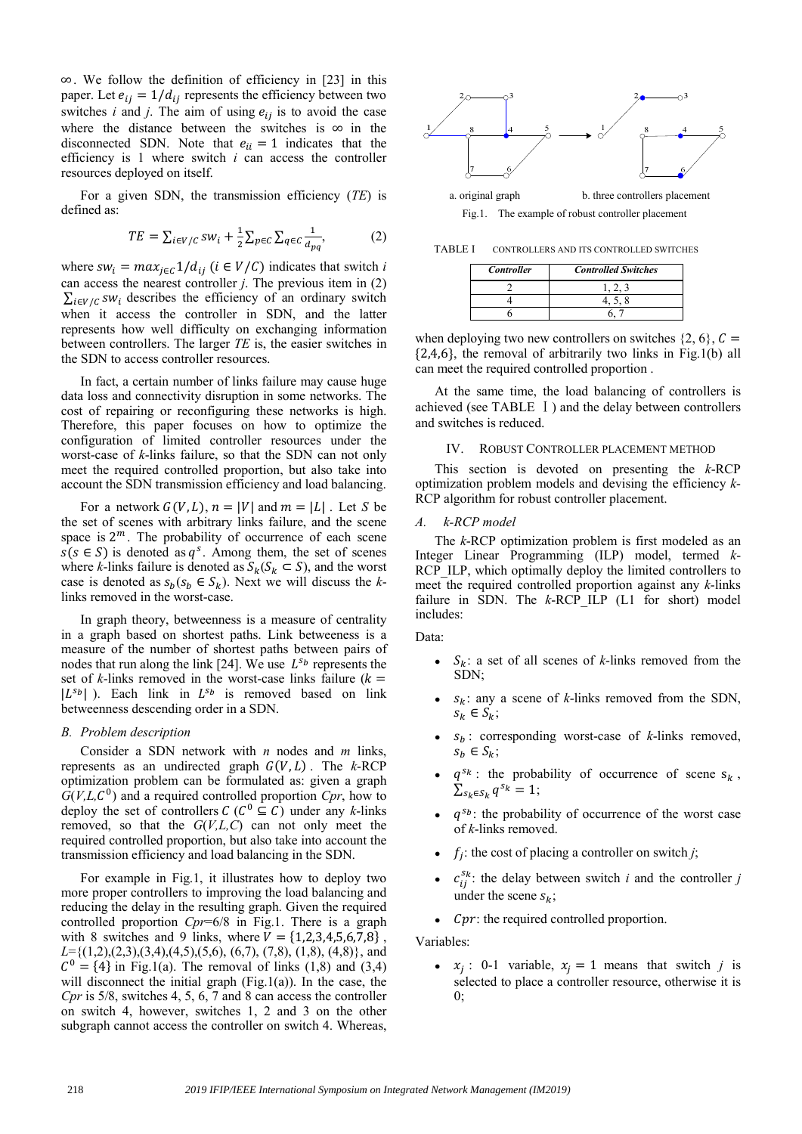∞. We follow the definition of efficiency in [23] in this paper. Let  $e_{ij} = 1/d_{ij}$  represents the efficiency between two switches  $i$  and  $j$ . The aim of using  $e_{ij}$  is to avoid the case where the distance between the switches is  $\infty$  in the disconnected SDN. Note that  $e_{ii} = 1$  indicates that the efficiency is 1 where switch *i* can access the controller resources deployed on itself.

For a given SDN, the transmission efficiency (*TE*) is defined as:

$$
TE = \sum_{i \in V/C} sw_i + \frac{1}{2} \sum_{p \in C} \sum_{q \in C} \frac{1}{d_{pq}},
$$
 (2)

where  $sw_i = max_{j \in \mathcal{L}} 1/d_{ij}$  ( $i \in V/\mathcal{C}$ ) indicates that switch *i* can access the nearest controller *j*. The previous item in (2)  $\sum_{i \in V/C} sw_i$  describes the efficiency of an ordinary switch when it access the controller in SDN, and the latter represents how well difficulty on exchanging information between controllers. The larger *TE* is, the easier switches in the SDN to access controller resources.

In fact, a certain number of links failure may cause huge data loss and connectivity disruption in some networks. The cost of repairing or reconfiguring these networks is high. Therefore, this paper focuses on how to optimize the configuration of limited controller resources under the worst-case of *k*-links failure, so that the SDN can not only meet the required controlled proportion, but also take into account the SDN transmission efficiency and load balancing.

For a network  $G(V, L)$ ,  $n = |V|$  and  $m = |L|$ . Let *S* be the set of scenes with arbitrary links failure, and the scene space is  $2^m$ . The probability of occurrence of each scene  $s(s \in S)$  is denoted as  $q<sup>s</sup>$ . Among them, the set of scenes where *k*-links failure is denoted as  $S_k(S_k \subset S)$ , and the worst case is denoted as  $s_b(s_b \in S_k)$ . Next we will discuss the *k*links removed in the worst-case.

In graph theory, betweenness is a measure of centrality in a graph based on shortest paths. Link betweeness is a measure of the number of shortest paths between pairs of nodes that run along the link [24]. We use  $L^{s_b}$  represents the set of  $k$ -links removed in the worst-case links failure ( $k =$  $|L^{s_b}|$ ). Each link in  $L^{s_b}$  is removed based on link betweenness descending order in a SDN.

## *B. Problem description*

Consider a SDN network with *n* nodes and *m* links, represents as an undirected graph  $G(V, L)$ . The *k*-RCP optimization problem can be formulated as: given a graph  $G(V, L, C^0)$  and a required controlled proportion  $Cpr$ , how to deploy the set of controllers  $C(C^0 \subseteq C)$  under any *k*-links removed, so that the *G*(*V,L,C*) can not only meet the required controlled proportion, but also take into account the transmission efficiency and load balancing in the SDN.

For example in Fig.1, it illustrates how to deploy two more proper controllers to improving the load balancing and reducing the delay in the resulting graph. Given the required controlled proportion *Cpr*=6/8 in Fig.1. There is a graph with 8 switches and 9 links, where  $V = \{1,2,3,4,5,6,7,8\}$ ,  $L=\{(1,2),(2,3),(3,4),(4,5),(5,6),(6,7),(7,8),(1,8),(4,8)\}\,$ , and  $C^{0} = \{4\}$  in Fig.1(a). The removal of links (1,8) and (3,4) will disconnect the initial graph  $(Fig.1(a))$ . In the case, the *Cpr* is 5/8, switches 4, 5, 6, 7 and 8 can access the controller on switch 4, however, switches 1, 2 and 3 on the other subgraph cannot access the controller on switch 4. Whereas,



TABLE I CONTROLLERS AND ITS CONTROLLED SWITCHES

| <b>Controller</b> | <b>Controlled Switches</b> |
|-------------------|----------------------------|
|                   |                            |
|                   |                            |
|                   |                            |

when deploying two new controllers on switches  $\{2, 6\}$ ,  $C=$  $\{2,4,6\}$ , the removal of arbitrarily two links in Fig.1(b) all can meet the required controlled proportion .

At the same time, the load balancing of controllers is achieved (see TABLE Ⅰ) and the delay between controllers and switches is reduced.

## IV. ROBUST CONTROLLER PLACEMENT METHOD

This section is devoted on presenting the *k*-RCP optimization problem models and devising the efficiency *k*-RCP algorithm for robust controller placement.

## *A. k-RCP model*

The *k*-RCP optimization problem is first modeled as an Integer Linear Programming (ILP) model, termed *k*-RCP ILP, which optimally deploy the limited controllers to meet the required controlled proportion against any *k*-links failure in SDN. The *k*-RCP ILP (L1 for short) model includes:

#### Data:

- $S_k$ : a set of all scenes of *k*-links removed from the SDN;
- $S_k$ : any a scene of *k*-links removed from the SDN,  $s_k \in S_k$ ;
- $\bullet$   $s_b$ : corresponding worst-case of *k*-links removed,  $s_h \in S_k$ ;
- $\bullet$   $q^{s_k}$ : the probability of occurrence of scene  $s_k$ ,  $\sum_{s_k \in S_k} q^{s_k} = 1;$
- $\bullet$   $q^{s_b}$ : the probability of occurrence of the worst case of *k*-links removed.
- $f_i$ : the cost of placing a controller on switch *j*;
- $c_{ij}^{s_k}$ : the delay between switch *i* and the controller *j* under the scene  $s_k$ ;
- $\bullet$  *Cpr*: the required controlled proportion.

Variables:

•  $x_j$ : 0-1 variable,  $x_j = 1$  means that switch *j* is selected to place a controller resource, otherwise it is  $0$ :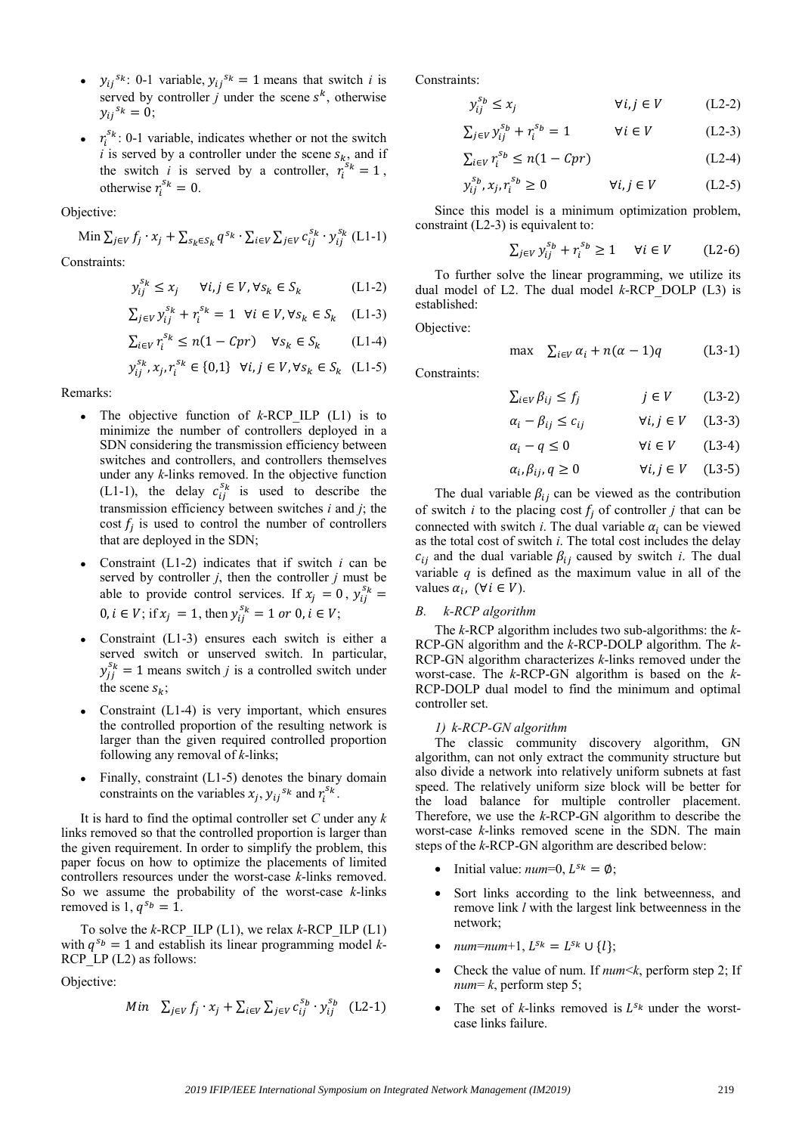- $y_{ij}^{s_k}$ : 0-1 variable,  $y_{ij}^{s_k} = 1$  means that switch *i* is served by controller *j* under the scene  $s^k$ , otherwise  $y_{ii}^{s_k} = 0$ ;
- $r_i^{s_k}$ : 0-1 variable, indicates whether or not the switch  $i$  is served by a controller under the scene  $s_k$ , and if the switch *i* is served by a controller,  $r_i^{s_k} = 1$ , otherwise  $r_i^{s_k} = 0$ .

Objective:

Min 
$$
\sum_{j \in V} f_j \cdot x_j + \sum_{s_k \in S_k} q^{s_k} \cdot \sum_{i \in V} \sum_{j \in V} c_{ij}^{s_k} \cdot y_{ij}^{s_k}
$$
 (L1-1)

Constraints:

$$
y_{ij}^{s_k} \le x_j \quad \forall i, j \in V, \forall s_k \in S_k \tag{L1-2}
$$

$$
\sum_{j \in V} y_{ij}^{s_k} + r_i^{s_k} = 1 \quad \forall i \in V, \forall s_k \in S_k \quad (L1-3)
$$

$$
\textstyle \sum_{i \in V} r_i^{s_k} \leq n(1 - Cpr) \quad \forall s_k \in S_k \qquad (\text{L1-4})
$$

$$
y_{ij}^{s_k},x_j,r_i^{s_k}\in\{0,1\}~~\forall i,j\in V, \forall s_k\in S_k~~({\rm L}1\text{-}5)
$$

Remarks:

- The objective function of *k*-RCP\_ILP (L1) is to minimize the number of controllers deployed in a SDN considering the transmission efficiency between switches and controllers, and controllers themselves under any *k*-links removed. In the objective function (L1-1), the delay  $c_{ij}^{s_k}$  is used to describe the transmission efficiency between switches *i* and *j*; the cost  $f_i$  is used to control the number of controllers that are deployed in the SDN;
- Constraint (L1-2) indicates that if switch *i* can be served by controller *j*, then the controller *j* must be able to provide control services. If  $x_j = 0$ ,  $y_{ij}^{s_k} =$  $0, i \in V$ ; if  $x_j = 1$ , then  $y_{ij}^{s_k} = 1$  or  $0, i \in V$ ;
- Constraint (L1-3) ensures each switch is either a served switch or unserved switch. In particular,  $y_{jj}^{s_k} = 1$  means switch *j* is a controlled switch under the scene  $s_k$ ;
- Constraint (L1-4) is very important, which ensures the controlled proportion of the resulting network is larger than the given required controlled proportion following any removal of *k*-links;
- Finally, constraint (L1-5) denotes the binary domain constraints on the variables  $x_j$ ,  $y_{ij}^{s_k}$  and  $r_i^{s_k}$ .

It is hard to find the optimal controller set *C* under any *k* links removed so that the controlled proportion is larger than the given requirement. In order to simplify the problem, this paper focus on how to optimize the placements of limited controllers resources under the worst-case *k*-links removed. So we assume the probability of the worst-case *k*-links removed is 1,  $q^{s_b} = 1$ .

To solve the *k*-RCP\_ILP (L1), we relax *k*-RCP\_ILP (L1) with  $q^{s_b} = 1$  and establish its linear programming model *k*-RCP LP (L2) as follows:

Objective:

Min 
$$
\sum_{j \in V} f_j \cdot x_j + \sum_{i \in V} \sum_{j \in V} c_{ij}^{s_b} \cdot y_{ij}^{s_b}
$$
 (L2-1)

Constraints:

$$
y_{ij}^{s_b} \le x_j \qquad \qquad \forall i,j \in V \qquad \qquad \text{(L2-2)}
$$

$$
\sum_{j \in V} y_{ij}^{s_b} + r_i^{s_b} = 1 \qquad \forall i \in V \qquad (L2-3)
$$

$$
\sum_{i \in V} r_i^{s_b} \le n(1 - Cpr) \tag{L2-4}
$$

$$
y_{ij}^{s_b}, x_j, r_i^{s_b} \ge 0 \t\t \forall i, j \in V \t\t (L2-5)
$$

Since this model is a minimum optimization problem, constraint (L2-3) is equivalent to:

$$
\sum_{j \in V} y_{ij}^{s_b} + r_i^{s_b} \ge 1 \quad \forall i \in V \qquad \text{(L2-6)}
$$

To further solve the linear programming, we utilize its dual model of L2. The dual model *k*-RCP\_DOLP (L3) is established:

Objective:

Constraints:

$$
\max \quad \sum_{i \in V} \alpha_i + n(\alpha - 1)q \quad (L3-1)
$$

$$
\sum_{i \in V} \beta_{ij} \le f_j \qquad j \in V \qquad (L3-2)
$$

$$
\alpha_i - \beta_{ij} \le c_{ij} \qquad \forall i, j \in V \quad (L3-3)
$$

$$
\alpha_i - q \le 0 \qquad \qquad \forall i \in V \qquad (L3-4)
$$

$$
\alpha_i, \beta_{ij}, q \ge 0 \qquad \qquad \forall i, j \in V \quad \text{(L3-5)}
$$

The dual variable  $\beta_{ij}$  can be viewed as the contribution of switch *i* to the placing cost  $f_i$  of controller *j* that can be connected with switch *i*. The dual variable  $\alpha_i$  can be viewed as the total cost of switch *i*. The total cost includes the delay  $c_{ij}$  and the dual variable  $\beta_{ij}$  caused by switch *i*. The dual variable *q* is defined as the maximum value in all of the values  $\alpha_i$ ,  $(\forall i \in V)$ .

# *B. k-RCP algorithm*

The *k*-RCP algorithm includes two sub-algorithms: the *k*-RCP-GN algorithm and the *k*-RCP-DOLP algorithm. The *k*-RCP-GN algorithm characterizes *k*-links removed under the worst-case. The *k*-RCP-GN algorithm is based on the *k*-RCP-DOLP dual model to find the minimum and optimal controller set.

## *1) k-RCP-GN algorithm*

The classic community discovery algorithm, GN algorithm, can not only extract the community structure but also divide a network into relatively uniform subnets at fast speed. The relatively uniform size block will be better for the load balance for multiple controller placement. Therefore, we use the *k*-RCP-GN algorithm to describe the worst-case *k*-links removed scene in the SDN. The main steps of the *k*-RCP-GN algorithm are described below:

- Initial value:  $num=0$ ,  $L^{s_k} = \emptyset$ ;
- Sort links according to the link betweenness, and remove link *l* with the largest link betweenness in the network;
- $num = num + 1, L^{s_k} = L^{s_k} \cup \{l\};$
- Check the value of num. If *num*<*k*, perform step 2; If *num*= *k*, perform step 5;
- The set of  $k$ -links removed is  $L^{s_k}$  under the worstcase links failure.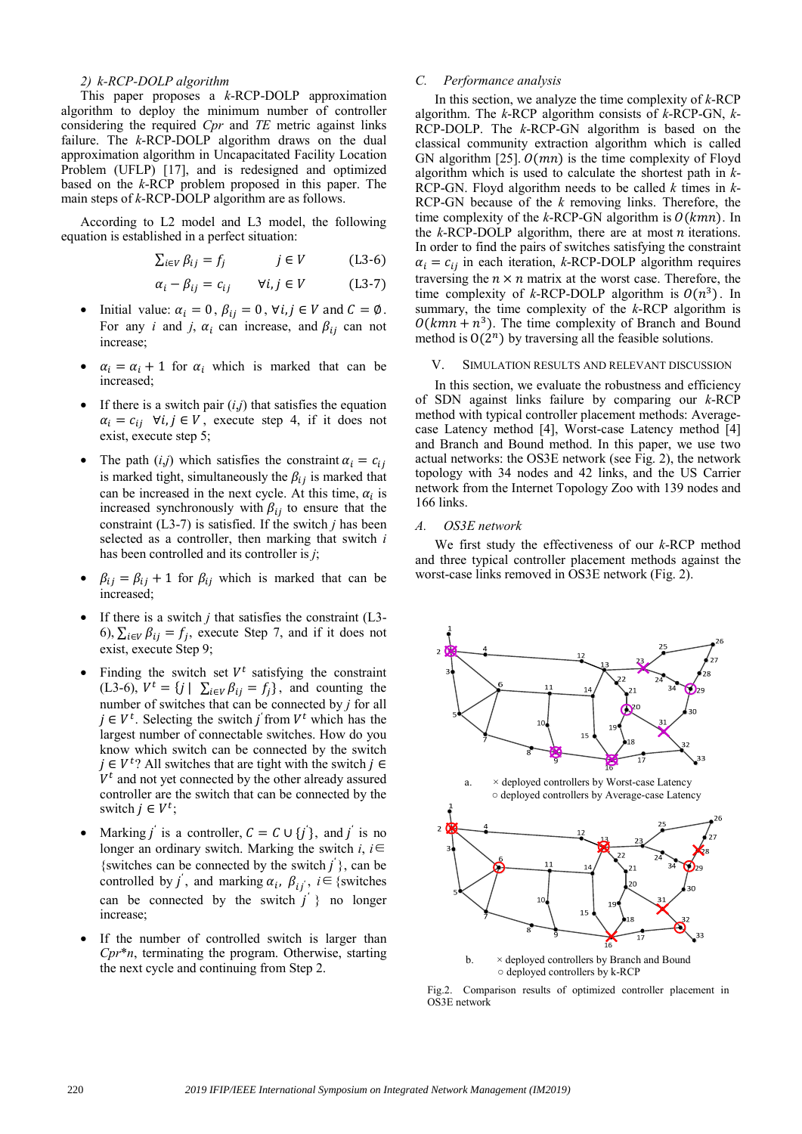## *2) k-RCP-DOLP algorithm*

This paper proposes a *k*-RCP-DOLP approximation algorithm to deploy the minimum number of controller considering the required *Cpr* and *TE* metric against links failure. The *k*-RCP-DOLP algorithm draws on the dual approximation algorithm in Uncapacitated Facility Location Problem (UFLP) [17], and is redesigned and optimized based on the *k*-RCP problem proposed in this paper. The main steps of *k*-RCP-DOLP algorithm are as follows.

According to L2 model and L3 model, the following equation is established in a perfect situation:

$$
\sum_{i \in V} \beta_{ij} = f_j \qquad j \in V \qquad (L3-6)
$$

$$
\alpha_i - \beta_{ij} = c_{ij} \qquad \forall i, j \in V \tag{L3-7}
$$

- Initial value:  $\alpha_i = 0$ ,  $\beta_{ij} = 0$ ,  $\forall i, j \in V$  and  $C = \emptyset$ . For any *i* and *j*,  $\alpha_i$  can increase, and  $\beta_{ij}$  can not increase;
- $\alpha_i = \alpha_i + 1$  for  $\alpha_i$  which is marked that can be increased;
- If there is a switch pair  $(i,j)$  that satisfies the equation  $\alpha_i = c_{ij}$   $\forall i, j \in V$ , execute step 4, if it does not exist, execute step 5;
- The path  $(i, j)$  which satisfies the constraint  $\alpha_i = c_{ij}$ is marked tight, simultaneously the  $\beta_{ij}$  is marked that can be increased in the next cycle. At this time,  $\alpha_i$  is increased synchronously with  $\beta_{ij}$  to ensure that the constraint (L3-7) is satisfied. If the switch *j* has been selected as a controller, then marking that switch *i* has been controlled and its controller is *j*;
- $\beta_{ij} = \beta_{ij} + 1$  for  $\beta_{ij}$  which is marked that can be increased;
- If there is a switch  $j$  that satisfies the constraint  $(L3 -$ 6),  $\sum_{i \in V} \beta_{ij} = f_i$ , execute Step 7, and if it does not exist, execute Step 9;
- Finding the switch set  $V^t$  satisfying the constraint (L3-6),  $V^t = \{j \mid \sum_{i \in V} \beta_{ij} = f_j\}$ , and counting the number of switches that can be connected by *j* for all  $j \in V^t$ . Selecting the switch  $j$  from  $V^t$  which has the largest number of connectable switches. How do you know which switch can be connected by the switch  $j \in V^t$ ? All switches that are tight with the switch  $j \in$  $V<sup>t</sup>$  and not yet connected by the other already assured controller are the switch that can be connected by the switch  $j \in V^t$ ;
- Marking  $j'$  is a controller,  $C = C \cup \{j'\}$ , and  $j'$  is no longer an ordinary switch. Marking the switch *i*, *i*∈ {switches can be connected by the switch  $j'$ }, can be controlled by  $j'$ , and marking  $\alpha_i$ ,  $\beta_{ij}$ ,  $i \in \{$ switches can be connected by the switch  $j'$  } no longer increase;
- If the number of controlled switch is larger than *Cpr*\**n*, terminating the program. Otherwise, starting the next cycle and continuing from Step 2.

# *C. Performance analysis*

In this section, we analyze the time complexity of *k*-RCP algorithm. The *k*-RCP algorithm consists of *k*-RCP-GN, *k*-RCP-DOLP. The *k*-RCP-GN algorithm is based on the classical community extraction algorithm which is called GN algorithm [25].  $O(mn)$  is the time complexity of Floyd algorithm which is used to calculate the shortest path in *k*-RCP-GN. Floyd algorithm needs to be called *k* times in *k*-RCP-GN because of the *k* removing links. Therefore, the time complexity of the  $k$ -RCP-GN algorithm is  $O(kmn)$ . In the  $k$ -RCP-DOLP algorithm, there are at most  $n$  iterations. In order to find the pairs of switches satisfying the constraint  $\alpha_i = c_{ij}$  in each iteration, *k*-RCP-DOLP algorithm requires traversing the  $n \times n$  matrix at the worst case. Therefore, the time complexity of *k*-RCP-DOLP algorithm is  $O(n^3)$ . In summary, the time complexity of the *k*-RCP algorithm is  $O(kmn + n^3)$ . The time complexity of Branch and Bound method is  $O(2^n)$  by traversing all the feasible solutions.

## V. SIMULATION RESULTS AND RELEVANT DISCUSSION

In this section, we evaluate the robustness and efficiency of SDN against links failure by comparing our *k*-RCP method with typical controller placement methods: Averagecase Latency method [4], Worst-case Latency method [4] and Branch and Bound method. In this paper, we use two actual networks: the OS3E network (see Fig. 2), the network topology with 34 nodes and 42 links, and the US Carrier network from the Internet Topology Zoo with 139 nodes and 166 links.

## *A. OS3E network*

We first study the effectiveness of our *k*-RCP method and three typical controller placement methods against the worst-case links removed in OS3E network (Fig. 2).



Fig.2. Comparison results of optimized controller placement in OS3E network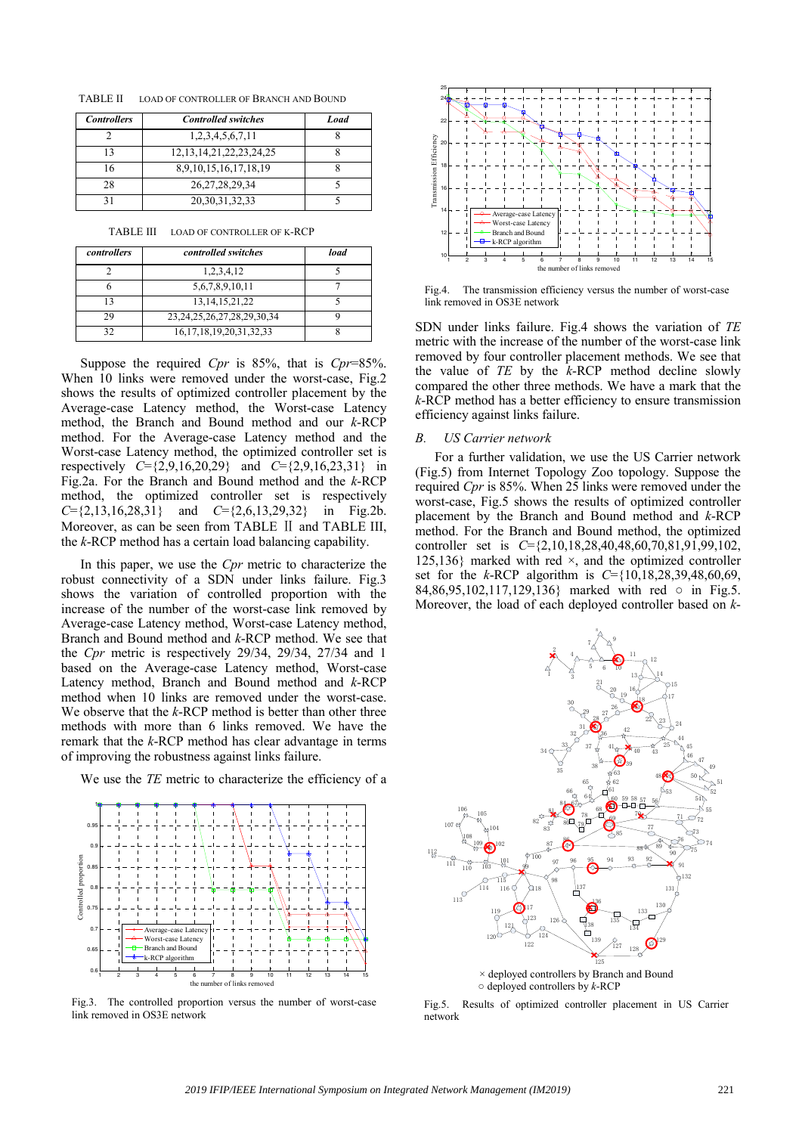TABLE II LOAD OF CONTROLLER OF BRANCH AND BOUND

| <b>Controllers</b> | <b>Controlled switches</b>     | Load |
|--------------------|--------------------------------|------|
|                    | 1,2,3,4,5,6,7,11               |      |
| 13                 | 12, 13, 14, 21, 22, 23, 24, 25 |      |
| 16                 | 8.9.10.15.16.17.18.19          |      |
| 28                 | 26, 27, 28, 29, 34             |      |
|                    | 20, 30, 31, 32, 33             |      |

TABLE III LOAD OF CONTROLLER OF K-RCP

| controllers | controlled switches                | load |
|-------------|------------------------------------|------|
|             | 1,2,3,4,12                         |      |
|             | 5,6,7,8,9,10,11                    |      |
|             | 13, 14, 15, 21, 22                 |      |
| 29          | 23, 24, 25, 26, 27, 28, 29, 30, 34 |      |
|             | 16, 17, 18, 19, 20, 31, 32, 33     |      |

Suppose the required *Cpr* is 85%, that is *Cpr*=85%. When 10 links were removed under the worst-case, Fig.2 shows the results of optimized controller placement by the Average-case Latency method, the Worst-case Latency method, the Branch and Bound method and our *k*-RCP method. For the Average-case Latency method and the Worst-case Latency method, the optimized controller set is respectively  $C = \{2, 9, 16, 20, 29\}$  and  $C = \{2, 9, 16, 23, 31\}$  in Fig.2a. For the Branch and Bound method and the *k*-RCP method, the optimized controller set is respectively *C*={2,13,16,28,31} and *C*={2,6,13,29,32} in Fig.2b. Moreover, as can be seen from TABLE Ⅱ and TABLE III, the *k*-RCP method has a certain load balancing capability.

In this paper, we use the *Cpr* metric to characterize the robust connectivity of a SDN under links failure. Fig.3 shows the variation of controlled proportion with the increase of the number of the worst-case link removed by Average-case Latency method, Worst-case Latency method, Branch and Bound method and *k*-RCP method. We see that the *Cpr* metric is respectively 29/34, 29/34, 27/34 and 1 based on the Average-case Latency method, Worst-case Latency method, Branch and Bound method and *k*-RCP method when 10 links are removed under the worst-case. We observe that the *k*-RCP method is better than other three methods with more than 6 links removed. We have the remark that the *k*-RCP method has clear advantage in terms of improving the robustness against links failure.

We use the *TE* metric to characterize the efficiency of a



Fig.3. The controlled proportion versus the number of worst-case link removed in OS3E network



Fig.4. The transmission efficiency versus the number of worst-case link removed in OS3E network

SDN under links failure. Fig.4 shows the variation of *TE* metric with the increase of the number of the worst-case link removed by four controller placement methods. We see that the value of *TE* by the *k*-RCP method decline slowly compared the other three methods. We have a mark that the *k*-RCP method has a better efficiency to ensure transmission efficiency against links failure.

## *B. US Carrier network*

For a further validation, we use the US Carrier network (Fig.5) from Internet Topology Zoo topology. Suppose the required *Cpr* is 85%. When 25 links were removed under the worst-case, Fig.5 shows the results of optimized controller placement by the Branch and Bound method and *k*-RCP method. For the Branch and Bound method, the optimized controller set is *C*={2,10,18,28,40,48,60,70,81,91,99,102, 125,136} marked with red  $\times$ , and the optimized controller set for the *k*-RCP algorithm is *C*={10,18,28,39,48,60,69, 84,86,95,102,117,129,136} marked with red ○ in Fig.5. Moreover, the load of each deployed controller based on *k*-



Fig.5. Results of optimized controller placement in US Carrier network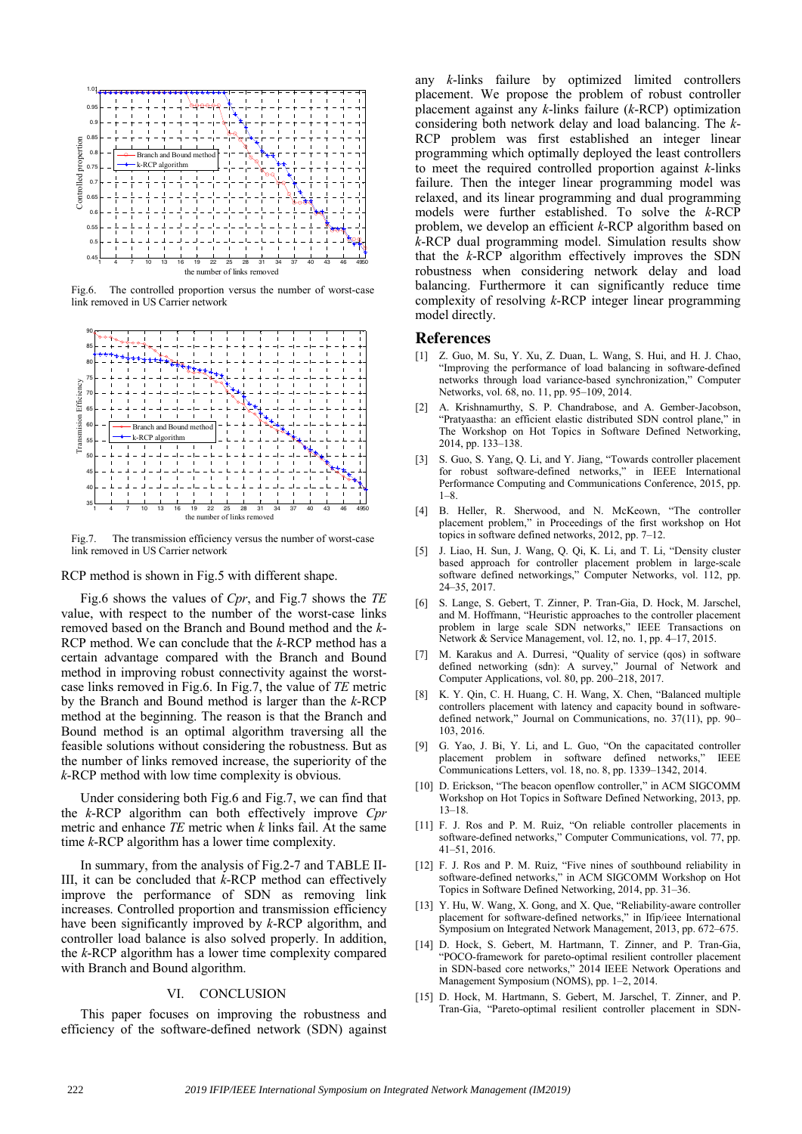

Fig.6. The controlled proportion versus the number of worst-case link removed in US Carrier network



Fig.7. The transmission efficiency versus the number of worst-case link removed in US Carrier network

RCP method is shown in Fig.5 with different shape.

Fig.6 shows the values of *Cpr*, and Fig.7 shows the *TE* value, with respect to the number of the worst-case links removed based on the Branch and Bound method and the *k*-RCP method. We can conclude that the *k*-RCP method has a certain advantage compared with the Branch and Bound method in improving robust connectivity against the worstcase links removed in Fig.6. In Fig.7, the value of *TE* metric by the Branch and Bound method is larger than the *k*-RCP method at the beginning. The reason is that the Branch and Bound method is an optimal algorithm traversing all the feasible solutions without considering the robustness. But as the number of links removed increase, the superiority of the *k*-RCP method with low time complexity is obvious.

Under considering both Fig.6 and Fig.7, we can find that the *k*-RCP algorithm can both effectively improve *Cpr* metric and enhance *TE* metric when *k* links fail. At the same time *k*-RCP algorithm has a lower time complexity.

In summary, from the analysis of Fig.2-7 and TABLE II-III, it can be concluded that *k*-RCP method can effectively improve the performance of SDN as removing link increases. Controlled proportion and transmission efficiency have been significantly improved by *k*-RCP algorithm, and controller load balance is also solved properly. In addition, the *k*-RCP algorithm has a lower time complexity compared with Branch and Bound algorithm.

# VI. CONCLUSION

This paper focuses on improving the robustness and efficiency of the software-defined network (SDN) against any *k*-links failure by optimized limited controllers placement. We propose the problem of robust controller placement against any *k*-links failure (*k*-RCP) optimization considering both network delay and load balancing. The *k*-RCP problem was first established an integer linear programming which optimally deployed the least controllers to meet the required controlled proportion against *k*-links failure. Then the integer linear programming model was relaxed, and its linear programming and dual programming models were further established. To solve the *k*-RCP problem, we develop an efficient *k*-RCP algorithm based on *k*-RCP dual programming model. Simulation results show that the *k*-RCP algorithm effectively improves the SDN robustness when considering network delay and load balancing. Furthermore it can significantly reduce time complexity of resolving *k*-RCP integer linear programming model directly.

## **References**

- [1] Z. Guo, M. Su, Y. Xu, Z. Duan, L. Wang, S. Hui, and H. J. Chao, "Improving the performance of load balancing in software-defined networks through load variance-based synchronization," Computer Networks, vol. 68, no. 11, pp. 95–109, 2014.
- [2] A. Krishnamurthy, S. P. Chandrabose, and A. Gember-Jacobson, "Pratyaastha: an efficient elastic distributed SDN control plane," in The Workshop on Hot Topics in Software Defined Networking, 2014, pp. 133–138.
- [3] S. Guo, S. Yang, Q. Li, and Y. Jiang, "Towards controller placement for robust software-defined networks," in IEEE International Performance Computing and Communications Conference, 2015, pp. 1–8.
- [4] B. Heller, R. Sherwood, and N. McKeown, "The controller placement problem," in Proceedings of the first workshop on Hot topics in software defined networks, 2012, pp. 7–12.
- [5] J. Liao, H. Sun, J. Wang, Q. Qi, K. Li, and T. Li, "Density cluster based approach for controller placement problem in large-scale software defined networkings," Computer Networks, vol. 112, pp. 24–35, 2017.
- [6] S. Lange, S. Gebert, T. Zinner, P. Tran-Gia, D. Hock, M. Jarschel, and M. Hoffmann, "Heuristic approaches to the controller placement problem in large scale SDN networks," IEEE Transactions on Network & Service Management, vol. 12, no. 1, pp. 4–17, 2015.
- [7] M. Karakus and A. Durresi, "Quality of service (qos) in software defined networking (sdn): A survey," Journal of Network and Computer Applications, vol. 80, pp. 200–218, 2017.
- [8] K. Y. Qin, C. H. Huang, C. H. Wang, X. Chen, "Balanced multiple controllers placement with latency and capacity bound in softwaredefined network," Journal on Communications, no. 37(11), pp. 90– 103, 2016.
- [9] G. Yao, J. Bi, Y. Li, and L. Guo, "On the capacitated controller placement problem in software defined networks," IEEE Communications Letters, vol. 18, no. 8, pp. 1339–1342, 2014.
- [10] D. Erickson, "The beacon openflow controller," in ACM SIGCOMM Workshop on Hot Topics in Software Defined Networking, 2013, pp. 13–18.
- [11] F. J. Ros and P. M. Ruiz, "On reliable controller placements in software-defined networks," Computer Communications, vol. 77, pp. 41–51, 2016.
- [12] F. J. Ros and P. M. Ruiz, "Five nines of southbound reliability in software-defined networks," in ACM SIGCOMM Workshop on Hot Topics in Software Defined Networking, 2014, pp. 31–36.
- [13] Y. Hu, W. Wang, X. Gong, and X. Que, "Reliability-aware controller placement for software-defined networks," in Ifip/ieee International Symposium on Integrated Network Management, 2013, pp. 672–675.
- [14] D. Hock, S. Gebert, M. Hartmann, T. Zinner, and P. Tran-Gia, "POCO-framework for pareto-optimal resilient controller placement in SDN-based core networks," 2014 IEEE Network Operations and Management Symposium (NOMS), pp. 1–2, 2014.
- [15] D. Hock, M. Hartmann, S. Gebert, M. Jarschel, T. Zinner, and P. Tran-Gia, "Pareto-optimal resilient controller placement in SDN-